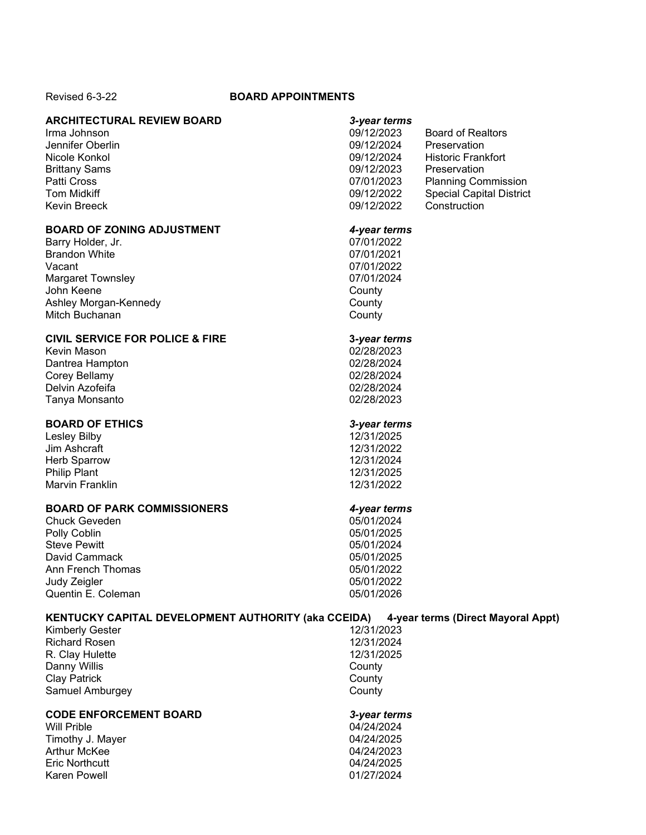### Revised 6-3-22 **BOARD APPOINTMENTS**

## **ARCHITECTURAL REVIEW BOARD** *3-year terms*

## **BOARD OF ZONING ADJUSTMENT** *4-year terms*

Barry Holder, Jr. 07/01/2022 Brandon White Vacant 07/01/2022 Margaret Townsley 07/01/2024 John Keene Ashley Morgan-Kennedy County Mitch Buchanan County

## **CIVIL SERVICE FOR POLICE & FIRE 3***-year terms*

Kevin Mason 02/28/2023 Dantrea Hampton Corey Bellamy **02/28/2024** Delvin Azofeifa 02/28/2024 Tanya Monsanto

# **BOARD OF ETHICS** *3-year terms*

Lesley Bilby Jim Ashcraft 12/31/2022 Herb Sparrow 12/31/2024 Philip Plant Marvin Franklin 12/31/2022

# **BOARD OF PARK COMMISSIONERS** *4-year terms*

Chuck Geveden 05/01/2024 Polly Coblin 2009 2012 2025<br>Steve Pewitt 2009 2012 2020 2014 2020 2021 Steve Pewitt 05/01/2024 David Cammack Ann French Thomas **65/01/2022** Judy Zeigler 05/01/2022 Quentin E. Coleman 05/01/2026

| Irma Johnson         | 09/12/2023 | <b>Board of Realtors</b>        |
|----------------------|------------|---------------------------------|
| Jennifer Oberlin     | 09/12/2024 | Preservation                    |
| Nicole Konkol        | 09/12/2024 | <b>Historic Frankfort</b>       |
| <b>Brittany Sams</b> | 09/12/2023 | Preservation                    |
| Patti Cross          | 07/01/2023 | <b>Planning Commission</b>      |
| Tom Midkiff          | 09/12/2022 | <b>Special Capital District</b> |
| Kevin Breeck         | 09/12/2022 | Construction                    |

| KENTUCKY CAPITAL DEVELOPMENT AUTHORITY (aka CCEIDA) |            | 4-year terms (Direct Mayoral Appt) |
|-----------------------------------------------------|------------|------------------------------------|
| <b>Kimberly Gester</b>                              | 12/31/2023 |                                    |
| <b>Richard Rosen</b>                                | 12/31/2024 |                                    |
| R. Clay Hulette                                     | 12/31/2025 |                                    |
| Danny Willis                                        | County     |                                    |
| <b>Clay Patrick</b>                                 | County     |                                    |
| Samuel Amburgey                                     | County     |                                    |
| <b>CODE ENFORCEMENT BOARD</b>                       |            | 3-year terms                       |
| Will Prible                                         | 04/24/2024 |                                    |
| Timothy J. Mayer                                    | 04/24/2025 |                                    |

Arthur McKee 2012 2023 2023 Eric Northcutt 04/24/2025 Karen Powell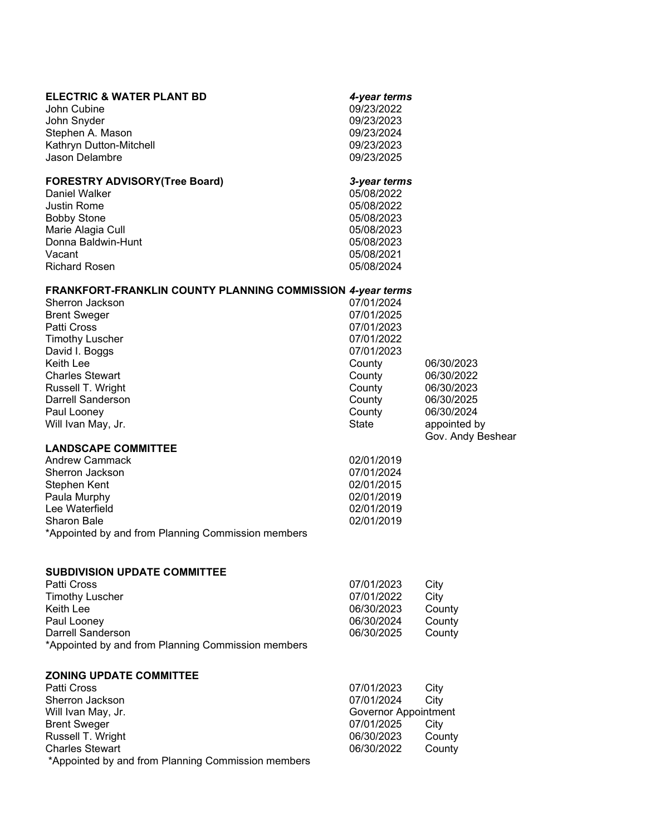| <b>ELECTRIC &amp; WATER PLANT BD</b><br>John Cubine<br>John Snyder<br>Stephen A. Mason<br>Kathryn Dutton-Mitchell<br><b>Jason Delambre</b>                                                                                                                                            | 4-year terms<br>09/23/2022<br>09/23/2023<br>09/23/2024<br>09/23/2023<br>09/23/2025                                                   |                                                                                                         |
|---------------------------------------------------------------------------------------------------------------------------------------------------------------------------------------------------------------------------------------------------------------------------------------|--------------------------------------------------------------------------------------------------------------------------------------|---------------------------------------------------------------------------------------------------------|
| <b>FORESTRY ADVISORY (Tree Board)</b><br>Daniel Walker<br><b>Justin Rome</b><br><b>Bobby Stone</b><br>Marie Alagia Cull<br>Donna Baldwin-Hunt<br>Vacant<br><b>Richard Rosen</b>                                                                                                       | 3-year terms<br>05/08/2022<br>05/08/2022<br>05/08/2023<br>05/08/2023<br>05/08/2023<br>05/08/2021<br>05/08/2024                       |                                                                                                         |
| FRANKFORT-FRANKLIN COUNTY PLANNING COMMISSION 4-year terms<br>Sherron Jackson<br><b>Brent Sweger</b><br>Patti Cross<br><b>Timothy Luscher</b><br>David I. Boggs<br>Keith Lee<br><b>Charles Stewart</b><br>Russell T. Wright<br>Darrell Sanderson<br>Paul Looney<br>Will Ivan May, Jr. | 07/01/2024<br>07/01/2025<br>07/01/2023<br>07/01/2022<br>07/01/2023<br>County<br>County<br>County<br>County<br>County<br><b>State</b> | 06/30/2023<br>06/30/2022<br>06/30/2023<br>06/30/2025<br>06/30/2024<br>appointed by<br>Gov. Andy Beshear |
| <b>LANDSCAPE COMMITTEE</b><br><b>Andrew Cammack</b><br>Sherron Jackson<br>Stephen Kent<br>Paula Murphy<br>Lee Waterfield<br><b>Sharon Bale</b><br>*Appointed by and from Planning Commission members                                                                                  | 02/01/2019<br>07/01/2024<br>02/01/2015<br>02/01/2019<br>02/01/2019<br>02/01/2019                                                     |                                                                                                         |
| <b>SUBDIVISION UPDATE COMMITTEE</b><br><b>Patti Cross</b><br><b>Timothy Luscher</b><br>Keith Lee<br>Paul Looney<br><b>Darrell Sanderson</b><br>*Appointed by and from Planning Commission members                                                                                     | 07/01/2023<br>07/01/2022<br>06/30/2023<br>06/30/2024<br>06/30/2025                                                                   | City<br>City<br>County<br>County<br>County                                                              |
| <b>ZONING UPDATE COMMITTEE</b><br>Patti Cross<br>Sherron Jackson<br>Will Ivan May, Jr.<br><b>Brent Sweger</b><br>Russell T. Wright<br><b>Charles Stewart</b><br>*Appointed by and from Planning Commission members                                                                    | 07/01/2023<br>07/01/2024<br>Governor Appointment<br>07/01/2025<br>06/30/2023<br>06/30/2022                                           | City<br>City<br>City<br>County<br>County                                                                |